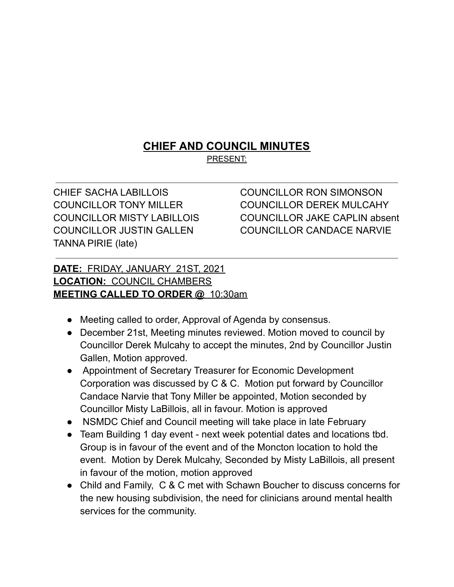## **CHIEF AND COUNCIL MINUTES**

PRESENT:

CHIEF SACHA LABILLOIS COUNCILLOR RON SIMONSON TANNA PIRIE (late)

COUNCILLOR TONY MILLER COUNCILLOR DEREK MULCAHY COUNCILLOR MISTY LABILLOIS COUNCILLOR JAKE CAPLIN absent COUNCILLOR JUSTIN GALLEN COUNCILLOR CANDACE NARVIE

## **DATE:** FRIDAY, JANUARY 21ST, 2021 **LOCATION:** COUNCIL CHAMBERS **MEETING CALLED TO ORDER @** 10:30am

- Meeting called to order, Approval of Agenda by consensus.
- December 21st, Meeting minutes reviewed. Motion moved to council by Councillor Derek Mulcahy to accept the minutes, 2nd by Councillor Justin Gallen, Motion approved.
- Appointment of Secretary Treasurer for Economic Development Corporation was discussed by C & C. Motion put forward by Councillor Candace Narvie that Tony Miller be appointed, Motion seconded by Councillor Misty LaBillois, all in favour. Motion is approved
- NSMDC Chief and Council meeting will take place in late February
- Team Building 1 day event next week potential dates and locations tbd. Group is in favour of the event and of the Moncton location to hold the event. Motion by Derek Mulcahy, Seconded by Misty LaBillois, all present in favour of the motion, motion approved
- Child and Family, C & C met with Schawn Boucher to discuss concerns for the new housing subdivision, the need for clinicians around mental health services for the community.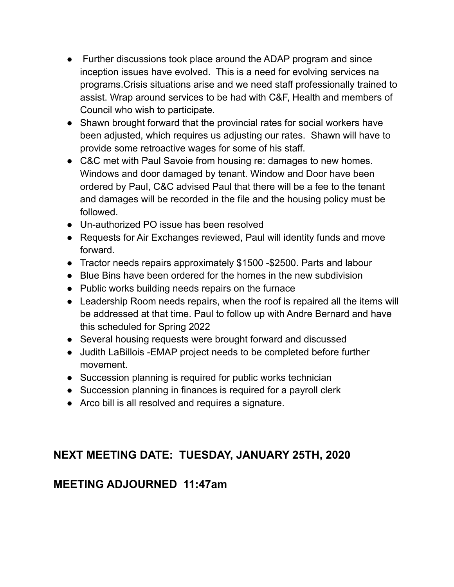- Further discussions took place around the ADAP program and since inception issues have evolved. This is a need for evolving services na programs.Crisis situations arise and we need staff professionally trained to assist. Wrap around services to be had with C&F, Health and members of Council who wish to participate.
- Shawn brought forward that the provincial rates for social workers have been adjusted, which requires us adjusting our rates. Shawn will have to provide some retroactive wages for some of his staff.
- C&C met with Paul Savoie from housing re: damages to new homes. Windows and door damaged by tenant. Window and Door have been ordered by Paul, C&C advised Paul that there will be a fee to the tenant and damages will be recorded in the file and the housing policy must be followed.
- Un-authorized PO issue has been resolved
- Requests for Air Exchanges reviewed, Paul will identity funds and move forward.
- Tractor needs repairs approximately \$1500 -\$2500. Parts and labour
- Blue Bins have been ordered for the homes in the new subdivision
- Public works building needs repairs on the furnace
- Leadership Room needs repairs, when the roof is repaired all the items will be addressed at that time. Paul to follow up with Andre Bernard and have this scheduled for Spring 2022
- Several housing requests were brought forward and discussed
- Judith LaBillois -EMAP project needs to be completed before further movement.
- Succession planning is required for public works technician
- Succession planning in finances is required for a payroll clerk
- Arco bill is all resolved and requires a signature.

## **NEXT MEETING DATE: TUESDAY, JANUARY 25TH, 2020**

## **MEETING ADJOURNED 11:47am**